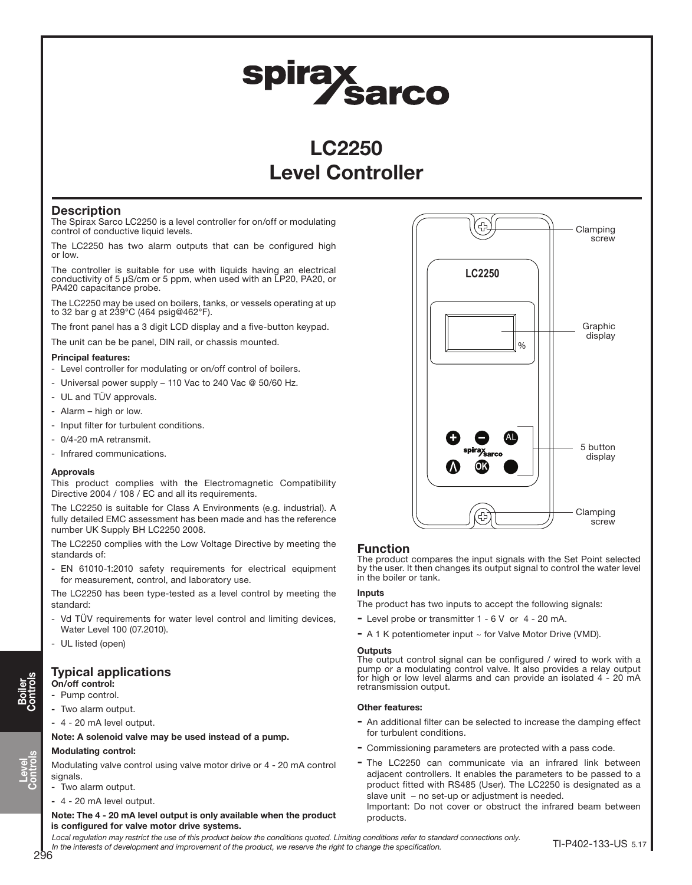# spirax<br>Sarco

# LC2250 Level Controller

## **Description**

The Spirax Sarco LC2250 is a level controller for on/off or modulating control of conductive liquid levels.

The LC2250 has two alarm outputs that can be configured high or low.

The controller is suitable for use with liquids having an electrical conductivity of 5 µS/cm or 5 ppm, when used with an LP20, PA20, or PA420 capacitance probe.

The LC2250 may be used on boilers, tanks, or vessels operating at up to 32 bar g at 239°C (464 psig@462°F).

The front panel has a 3 digit LCD display and a five-button keypad.

The unit can be be panel, DIN rail, or chassis mounted.

#### Principal features:

- Level controller for modulating or on/off control of boilers.
- Universal power supply 110 Vac to 240 Vac @ 50/60 Hz.
- UL and TÜV approvals.
- Alarm high or low.
- Input filter for turbulent conditions.
- 0/4-20 mA retransmit.
- Infrared communications.

#### Approvals

This product complies with the Electromagnetic Compatibility Directive 2004 / 108 / EC and all its requirements.

The LC2250 is suitable for Class A Environments (e.g. industrial). A fully detailed EMC assessment has been made and has the reference number UK Supply BH LC2250 2008.

The LC2250 complies with the Low Voltage Directive by meeting the standards of:

- EN 61010-1:2010 safety requirements for electrical equipment for measurement, control, and laboratory use.

The LC2250 has been type-tested as a level control by meeting the standard:

- Vd TÜV requirements for water level control and limiting devices, Water Level 100 (07.2010).
- UL listed (open)

# Typical applications

#### On/off control: - Pump control.

- Two alarm output.
- 4 20 mA level output.

#### Note: A solenoid valve may be used instead of a pump.

#### Modulating control:

Modulating valve control using valve motor drive or 4 - 20 mA control signals.

- Two alarm output.
- 4 20 mA level output.

Note: The 4 - 20 mA level output is only available when the product is configured for valve motor drive systems.



### Function

The product compares the input signals with the Set Point selected by the user. It then changes its output signal to control the water level in the boiler or tank.

#### **Inputs**

The product has two inputs to accept the following signals:

- Level probe or transmitter 1 6 V or 4 20 mA.
- A 1 K potentiometer input  $\sim$  for Valve Motor Drive (VMD).

#### **Outputs**

The output control signal can be configured / wired to work with a pump or a modulating control valve. It also provides a relay output for high or low level alarms and can provide an isolated 4 - 20 mA retransmission output.

#### Other features:

- An additional filter can be selected to increase the damping effect for turbulent conditions.
- Commissioning parameters are protected with a pass code.
- The LC2250 can communicate via an infrared link between adjacent controllers. It enables the parameters to be passed to a product fitted with RS485 (User). The LC2250 is designated as a slave unit – no set-up or adjustment is needed. Important: Do not cover or obstruct the infrared beam between

products.

Local regulation may restrict the use of this product below the conditions quoted. Limiting conditions refer to standard connections only. In the interests of development and improvement of the product, we reserve the right to change the specification.

Level Controls

Boiler Controls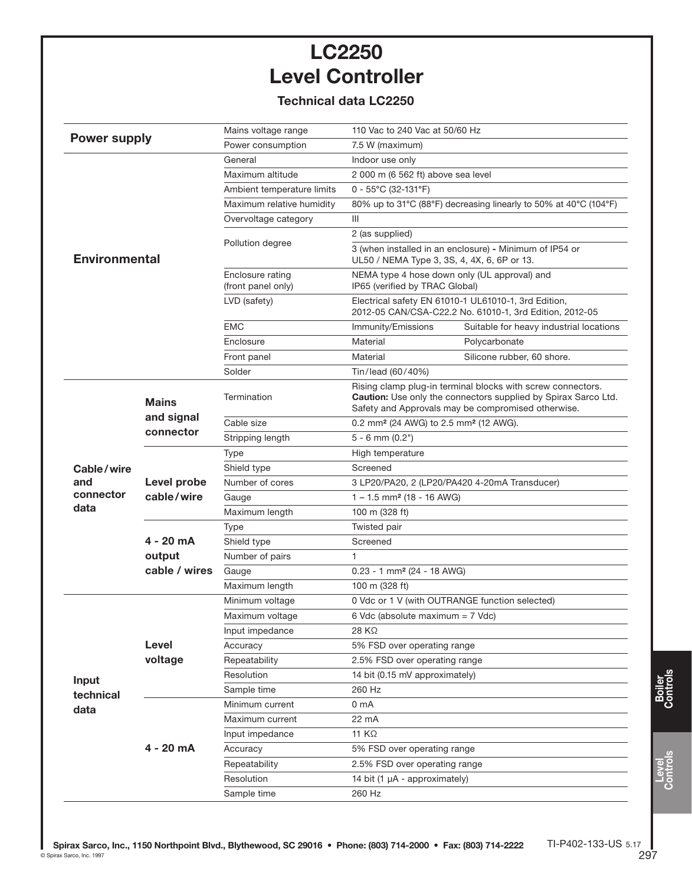# LC2250 Level Controller

# Technical data LC2250

|                                        |                                         | Mains voltage range                    | 110 Vac to 240 Vac at 50/60 Hz                                                                                                                                                             |                                         |
|----------------------------------------|-----------------------------------------|----------------------------------------|--------------------------------------------------------------------------------------------------------------------------------------------------------------------------------------------|-----------------------------------------|
| <b>Power supply</b>                    |                                         | Power consumption                      | 7.5 W (maximum)                                                                                                                                                                            |                                         |
|                                        |                                         | General                                | Indoor use only                                                                                                                                                                            |                                         |
| <b>Environmental</b>                   |                                         | Maximum altitude                       | 2 000 m (6 562 ft) above sea level                                                                                                                                                         |                                         |
|                                        |                                         | Ambient temperature limits             | $0 - 55^{\circ}$ C (32-131°F)                                                                                                                                                              |                                         |
|                                        |                                         | Maximum relative humidity              | 80% up to 31°C (88°F) decreasing linearly to 50% at 40°C (104°F)                                                                                                                           |                                         |
|                                        |                                         | Overvoltage category                   | III                                                                                                                                                                                        |                                         |
|                                        |                                         |                                        | 2 (as supplied)                                                                                                                                                                            |                                         |
|                                        |                                         | Pollution degree                       | 3 (when installed in an enclosure) - Minimum of IP54 or<br>UL50 / NEMA Type 3, 3S, 4, 4X, 6, 6P or 13.                                                                                     |                                         |
|                                        |                                         | Enclosure rating<br>(front panel only) | NEMA type 4 hose down only (UL approval) and<br>IP65 (verified by TRAC Global)                                                                                                             |                                         |
|                                        |                                         | LVD (safety)                           | Electrical safety EN 61010-1 UL61010-1, 3rd Edition,<br>2012-05 CAN/CSA-C22.2 No. 61010-1, 3rd Edition, 2012-05                                                                            |                                         |
|                                        |                                         | <b>EMC</b>                             | Immunity/Emissions                                                                                                                                                                         | Suitable for heavy industrial locations |
|                                        |                                         | Enclosure                              | Material                                                                                                                                                                                   | Polycarbonate                           |
|                                        |                                         | Front panel                            | Material                                                                                                                                                                                   | Silicone rubber, 60 shore.              |
|                                        |                                         | Solder                                 | Tin/lead (60/40%)                                                                                                                                                                          |                                         |
|                                        | <b>Mains</b><br>and signal<br>connector | Termination                            | Rising clamp plug-in terminal blocks with screw connectors.<br><b>Caution:</b> Use only the connectors supplied by Spirax Sarco Ltd.<br>Safety and Approvals may be compromised otherwise. |                                         |
|                                        |                                         | Cable size                             | 0.2 mm <sup>2</sup> (24 AWG) to 2.5 mm <sup>2</sup> (12 AWG).                                                                                                                              |                                         |
|                                        |                                         | Stripping length                       | $5 - 6$ mm $(0.2")$                                                                                                                                                                        |                                         |
|                                        | Level probe<br>cable/wire               | Type                                   | High temperature                                                                                                                                                                           |                                         |
| Cable/wire<br>and<br>connector<br>data |                                         | Shield type                            | Screened                                                                                                                                                                                   |                                         |
|                                        |                                         | Number of cores                        | 3 LP20/PA20, 2 (LP20/PA420 4-20mA Transducer)                                                                                                                                              |                                         |
|                                        |                                         | Gauge                                  | $1 - 1.5$ mm <sup>2</sup> (18 - 16 AWG)                                                                                                                                                    |                                         |
|                                        |                                         | Maximum length                         | 100 m (328 ft)                                                                                                                                                                             |                                         |
|                                        |                                         | <b>Type</b>                            | Twisted pair                                                                                                                                                                               |                                         |
|                                        | 4 - 20 mA                               | Shield type                            | Screened<br>1                                                                                                                                                                              |                                         |
|                                        | output                                  | Number of pairs                        |                                                                                                                                                                                            |                                         |
|                                        | cable / wires                           | Gauge                                  | $0.23 - 1$ mm <sup>2</sup> (24 - 18 AWG)                                                                                                                                                   |                                         |
|                                        |                                         | Maximum length                         | 100 m (328 ft)                                                                                                                                                                             |                                         |
| Input<br>technical<br>data             |                                         | Minimum voltage                        | 0 Vdc or 1 V (with OUTRANGE function selected)                                                                                                                                             |                                         |
|                                        |                                         | Maximum voltage                        | 6 Vdc (absolute maximum = 7 Vdc)                                                                                                                                                           |                                         |
|                                        |                                         | Input impedance                        | 28 KΩ                                                                                                                                                                                      |                                         |
|                                        | Level                                   | Accuracy                               | 5% FSD over operating range<br>2.5% FSD over operating range                                                                                                                               |                                         |
|                                        | voltage                                 | Repeatability                          |                                                                                                                                                                                            |                                         |
|                                        |                                         | Resolution                             | 14 bit (0.15 mV approximately)                                                                                                                                                             |                                         |
|                                        |                                         | Sample time                            | 260 Hz                                                                                                                                                                                     |                                         |
|                                        |                                         | Minimum current                        | 0 <sub>m</sub> A                                                                                                                                                                           |                                         |
|                                        | $4 - 20$ mA                             | Maximum current                        | 22 mA                                                                                                                                                                                      |                                         |
|                                        |                                         | Input impedance                        | 11 KΩ                                                                                                                                                                                      |                                         |
|                                        |                                         | Accuracy                               | 5% FSD over operating range                                                                                                                                                                |                                         |
|                                        |                                         | Repeatability                          | 2.5% FSD over operating range                                                                                                                                                              |                                         |
|                                        |                                         | Resolution                             | 14 bit (1 µA - approximately)                                                                                                                                                              |                                         |
|                                        |                                         | Sample time                            | 260 Hz                                                                                                                                                                                     |                                         |

Level Controls